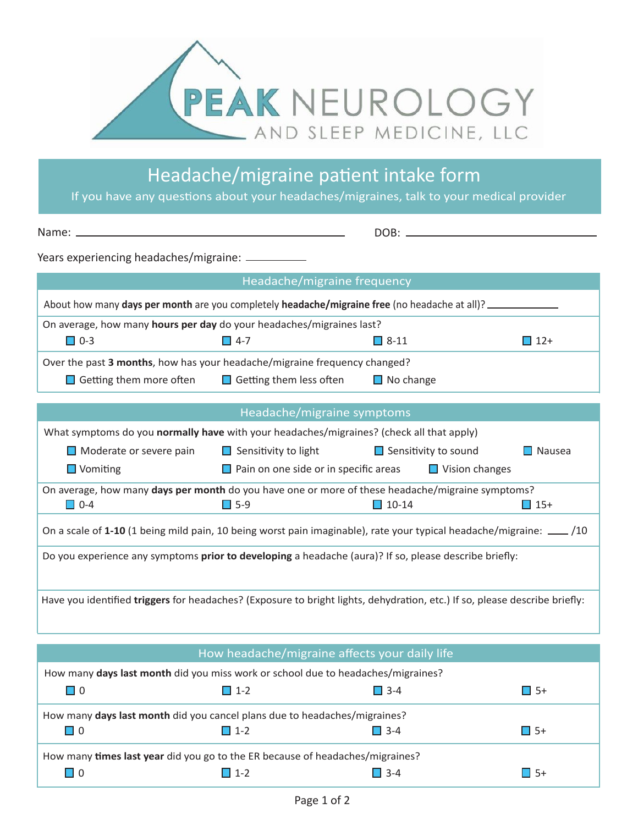

Headache/migraine patient intake form

If you have any questions about your headaches/migraines, talk to your medical provider

| Years experiencing headaches/migraine: __________                                                                          |                                                                    |                             |               |  |  |  |
|----------------------------------------------------------------------------------------------------------------------------|--------------------------------------------------------------------|-----------------------------|---------------|--|--|--|
| Headache/migraine frequency                                                                                                |                                                                    |                             |               |  |  |  |
| About how many days per month are you completely headache/migraine free (no headache at all)?                              |                                                                    |                             |               |  |  |  |
| On average, how many hours per day do your headaches/migraines last?                                                       |                                                                    |                             |               |  |  |  |
| $\square$ 0-3                                                                                                              | $\Box$ 4-7                                                         | $\Box$ 8-11                 | $\Box$ 12+    |  |  |  |
| Over the past 3 months, how has your headache/migraine frequency changed?                                                  |                                                                    |                             |               |  |  |  |
| Getting them more often $\Box$ Getting them less often $\Box$ No change                                                    |                                                                    |                             |               |  |  |  |
|                                                                                                                            |                                                                    |                             |               |  |  |  |
|                                                                                                                            | Headache/migraine symptoms                                         |                             |               |  |  |  |
| What symptoms do you normally have with your headaches/migraines? (check all that apply)                                   |                                                                    |                             |               |  |  |  |
|                                                                                                                            | $\Box$ Moderate or severe pain $\Box$ Sensitivity to light         | $\Box$ Sensitivity to sound | $\Box$ Nausea |  |  |  |
| $\Box$ Vomiting                                                                                                            | $\Box$ Pain on one side or in specific areas $\Box$ Vision changes |                             |               |  |  |  |
| On average, how many days per month do you have one or more of these headache/migraine symptoms?<br>$\Box$ 0-4             | $\Box$ 5-9                                                         | $\Box$ 10-14                | $\Box$ 15+    |  |  |  |
| On a scale of 1-10 (1 being mild pain, 10 being worst pain imaginable), rate your typical headache/migraine: __ /10        |                                                                    |                             |               |  |  |  |
| Do you experience any symptoms prior to developing a headache (aura)? If so, please describe briefly:                      |                                                                    |                             |               |  |  |  |
| Have you identified triggers for headaches? (Exposure to bright lights, dehydration, etc.) If so, please describe briefly: |                                                                    |                             |               |  |  |  |

| How headache/migraine affects your daily life                                    |            |               |           |  |  |
|----------------------------------------------------------------------------------|------------|---------------|-----------|--|--|
| How many days last month did you miss work or school due to headaches/migraines? |            |               |           |  |  |
| $\Box$ 0                                                                         | $\Box$ 1-2 | $\square$ 3-4 | □ 5+      |  |  |
| How many <b>days last month</b> did you cancel plans due to headaches/migraines? |            |               |           |  |  |
| $\Box$ 0                                                                         | $\Box$ 1-2 | $\Box$ 3-4    | $\Box$ 5+ |  |  |
| How many times last year did you go to the ER because of headaches/migraines?    |            |               |           |  |  |
|                                                                                  | $11-2$     | $\Box$ 3-4    | $\Box$ 5+ |  |  |